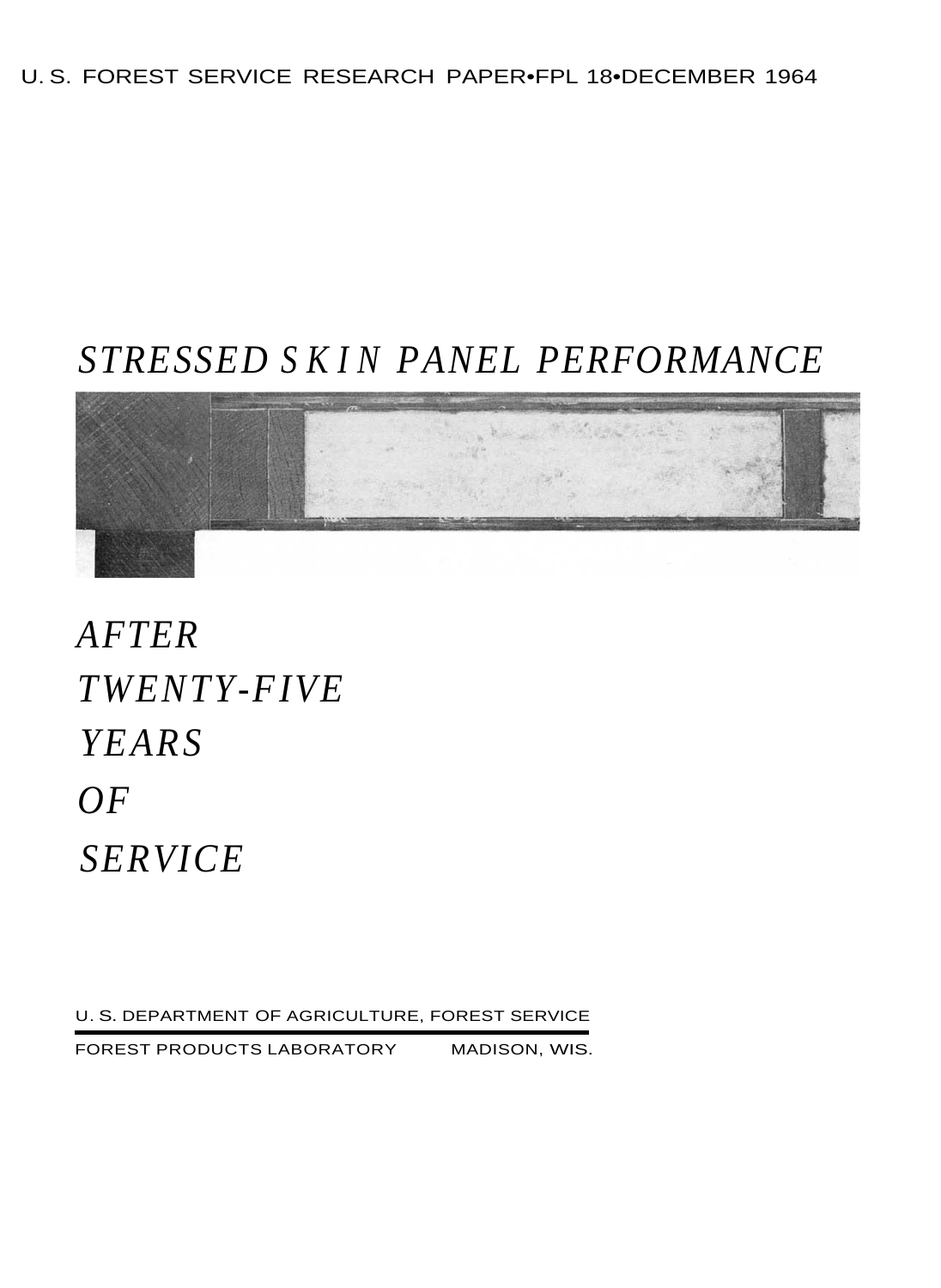# U. S. FOREST SERVICE RESEARCH PAPER•FPL 18•DECEMBER 1964

# *STRESSED SKIN PANEL PERFORMANCE*



*AFTER TWENTY-FIVE YEARS OF SERVICE* 

U. S. DEPARTMENT OF AGRICULTURE, FOREST SERVICE

FOREST PRODUCTS LABORATORY MADISON, WIS.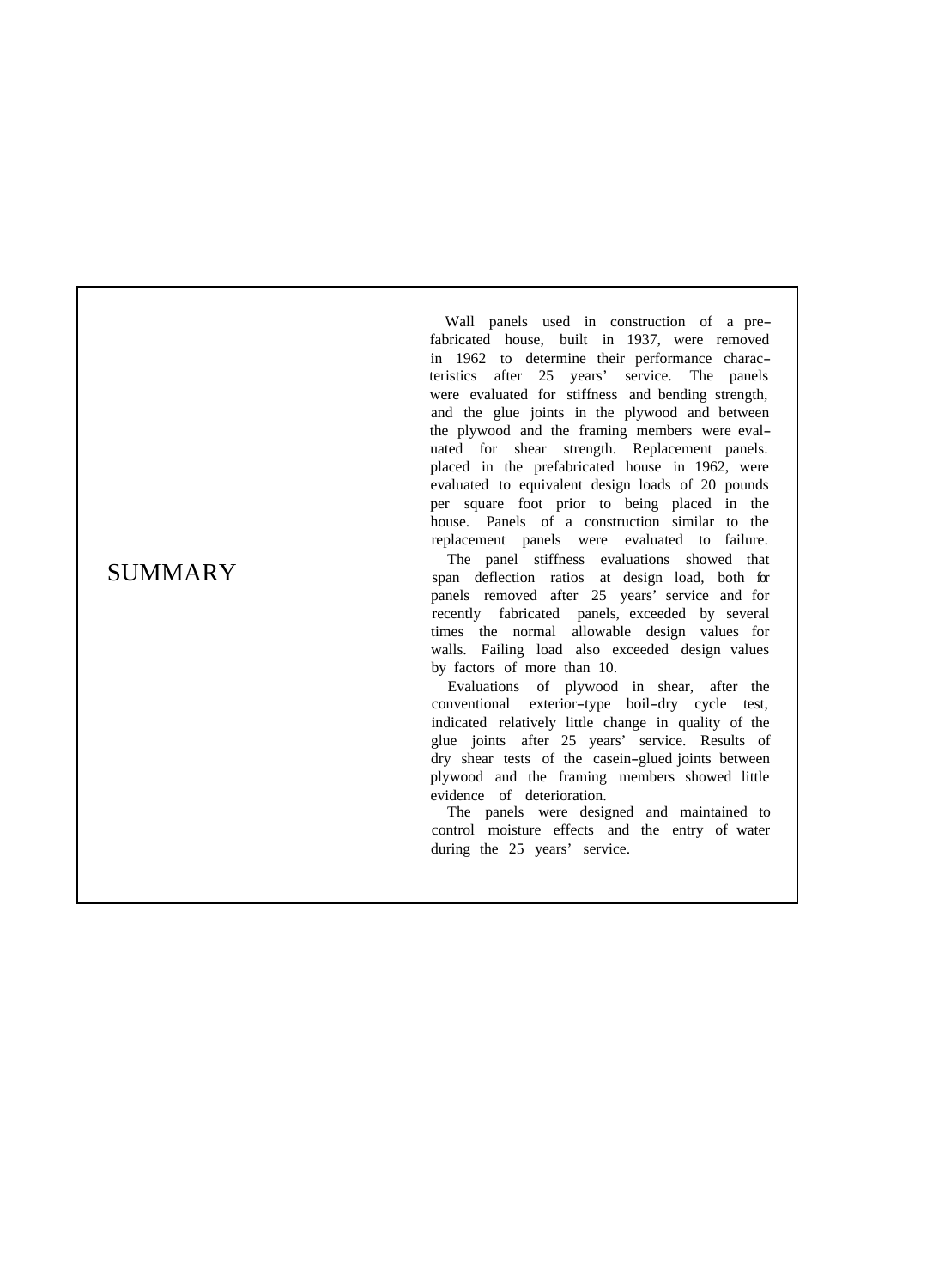# SUMMARY

Wall panels used in construction of a pre fabricated house, built in 1937, were removed in 1962 to determine their performance charac teristics after 25 years' service. The panels were evaluated for stiffness and bending strength, and the glue joints in the plywood and between the plywood and the framing members were eval uated for shear strength. Replacement panels. placed in the prefabricated house in 1962, were evaluated to equivalent design loads of 20 pounds per square foot prior to being placed in the house. Panels of a construction similar to the replacement panels were evaluated to failure.

The panel stiffness evaluations showed that span deflection ratios at design load, both for panels removed after 25 years' service and for recently fabricated panels, exceeded by several times the normal allowable design values for walls. Failing load also exceeded design values by factors of more than 10.

Evaluations of plywood in shear, after the conventional exterior -type boil -dry cycle test, indicated relatively little change in quality of the glue joints after 25 years' service. Results of dry shear tests of the casein -glued joints between plywood and the framing members showed little evidence of deterioration.

The panels were designed and maintained to control moisture effects and the entry of water during the 25 years' service.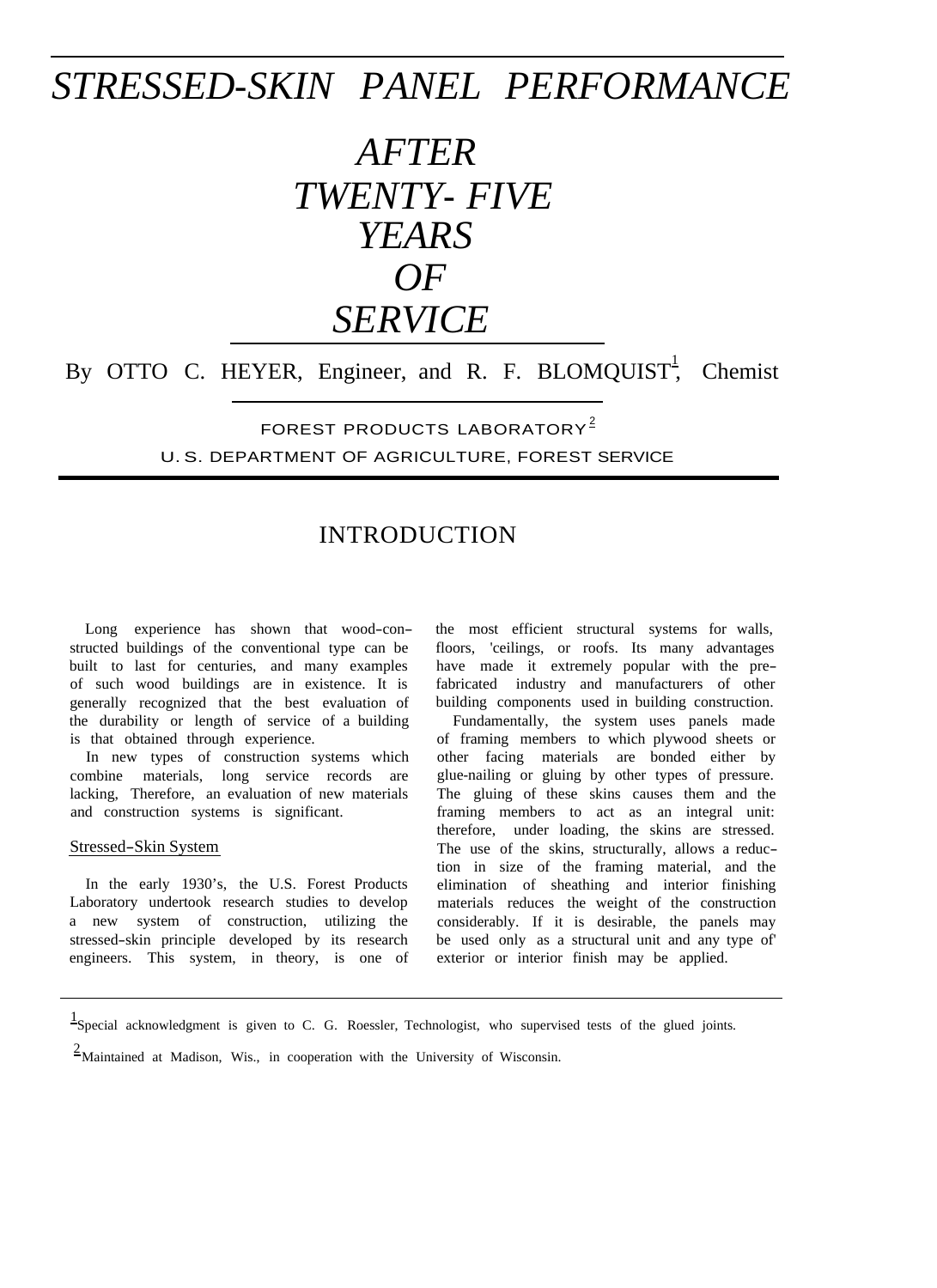# *STRESSED-SKIN PANEL PERFORMANCE*

# *AFTER TWENTY- FIVE YEARS*   $OF$ *SERVICE*

By OTTO C. HEYER, Engineer, and R. F. BLOMQUIST<sup>1</sup>, Chemist

FOREST PRODUCTS LABORATORY<sup>2</sup> U. S. DEPARTMENT OF AGRICULTURE, FOREST SERVICE

# INTRODUCTION

Long experience has shown that wood-constructed buildings of the conventional type can be built to last for centuries, and many examples of such wood buildings are in existence. It is generally recognized that the best evaluation of the durability or length of service of a building is that obtained through experience.

In new types of construction systems which combine materials, long service records are lacking, Therefore, an evaluation of new materials and construction systems is significant.

#### Stressed-Skin System

In the early 1930's, the U.S. Forest Products Laboratory undertook research studies to develop a new system of construction, utilizing the stressed-skin principle developed by its research engineers. This system, in theory, is one of

the most efficient structural systems for walls, floors, 'ceilings, or roofs. Its many advantages have made it extremely popular with the prefabricated industry and manufacturers of other building components used in building construction.

Fundamentally, the system uses panels made of framing members to which plywood sheets or other facing materials are bonded either by glue-nailing or gluing by other types of pressure. The gluing of these skins causes them and the framing members to act as an integral unit: therefore, under loading, the skins are stressed. The use of the skins, structurally, allows a reduction in size of the framing material, and the elimination of sheathing and interior finishing materials reduces the weight of the construction considerably. If it is desirable, the panels may be used only as a structural unit and any type of' exterior or interior finish may be applied.

 $2$ Maintained at Madison, Wis., in cooperation with the University of Wisconsin.

<sup>&</sup>lt;sup>1</sup>Special acknowledgment is given to C. G. Roessler, Technologist, who supervised tests of the glued joints.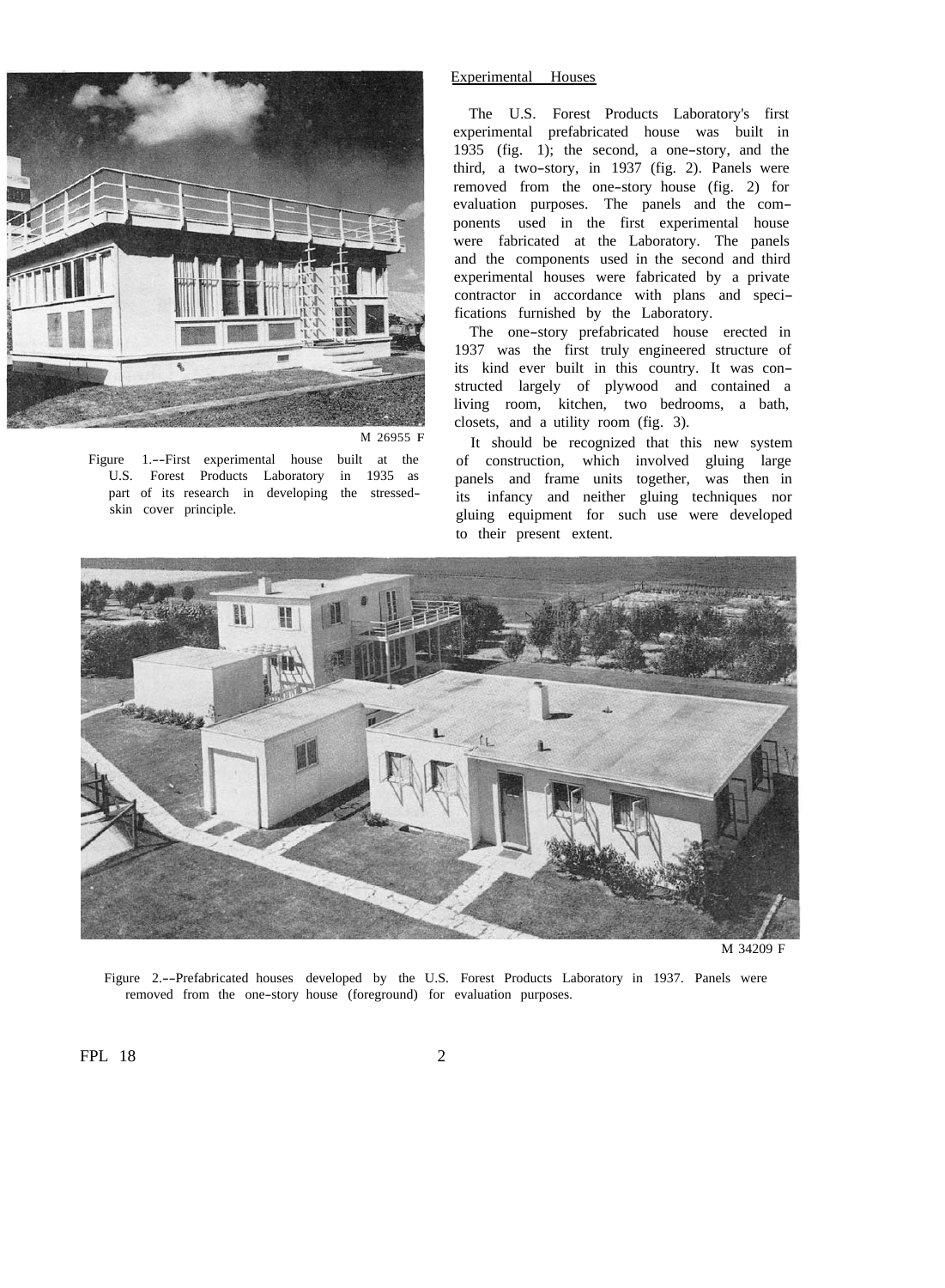

#### Experimental Houses

The U.S. Forest Products Laboratory's first experimental prefabricated house was built in 1935 (fig. 1); the second, a one-story, and the third, a two-story, in 1937 (fig. 2). Panels were removed from the one-story house (fig. 2) for evaluation purposes. The panels and the components used in the first experimental house were fabricated at the Laboratory. The panels and the components used in the second and third experimental houses were fabricated by a private contractor in accordance with plans and specifications furnished by the Laboratory.

The one-story prefabricated house erected in 1937 was the first truly engineered structure of its kind ever built in this country. It was constructed largely of plywood and contained a living room, kitchen, two bedrooms, a bath, closets, and a utility room (fig. 3).

M 26955 F It should be recognized that this new system Figure 1.--First experimental house built at the of construction, which involved gluing large U.S. Forest Products Laboratory in 1935 as a panels and frame units together was then in U.S. Forest Products Laboratory in 1935 as panels and frame units together, was then in part of its research in developing the stressed-<br>its infancy and peither gluing techniques por part of its research in developing the stressed-<br>skin cover principle.<br>gluing equipment for such use were developed to their present extent.



M 34209 F

Figure 2.--Prefabricated houses developed by the U.S. Forest Products Laboratory in 1937. Panels were removed from the one-story house (foreground) for evaluation purposes.

FPL 18 2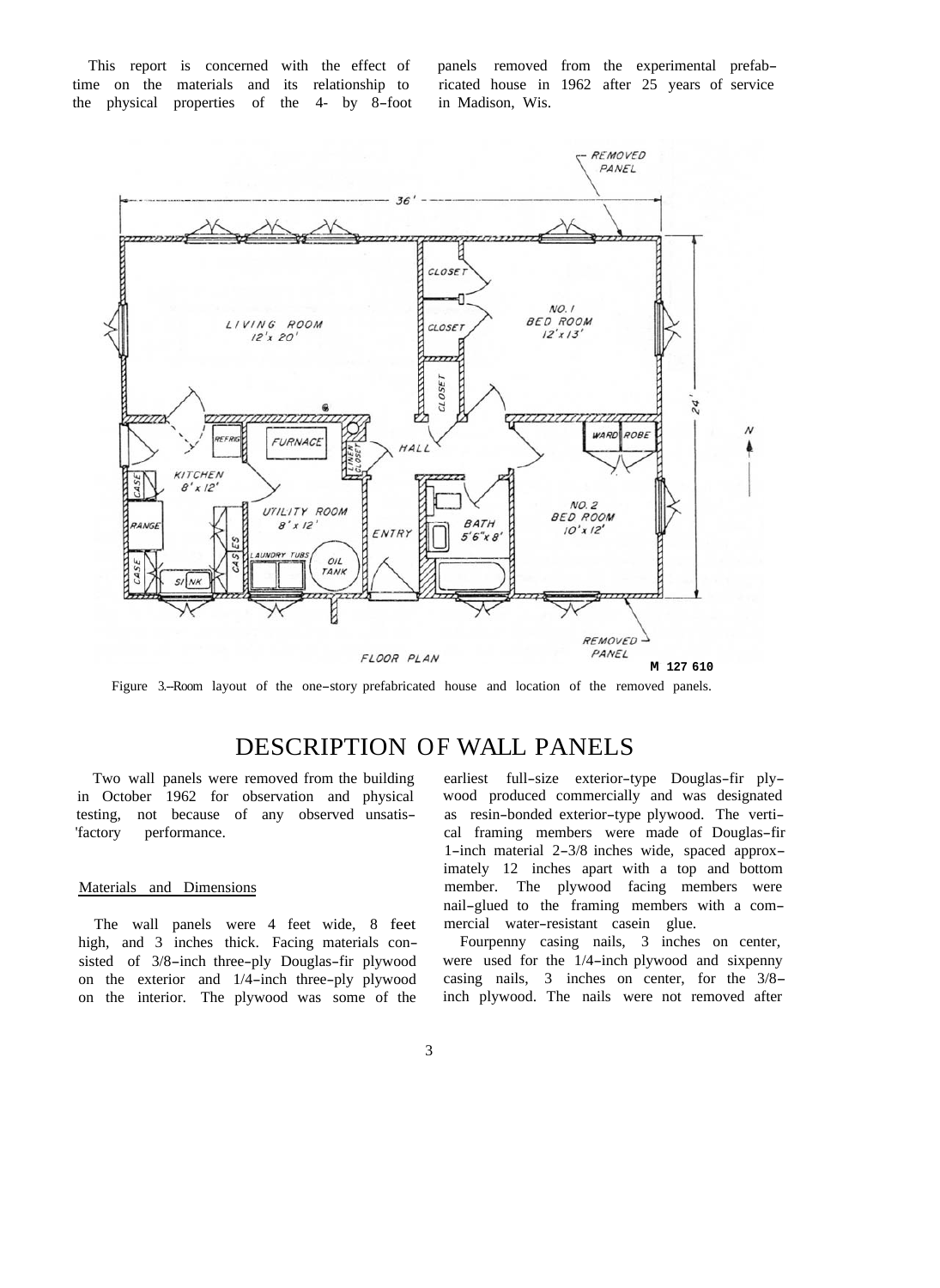the physical properties of the 4- by 8-foot in Madison, Wis.

This report is concerned with the effect of panels removed from the experimental prefab-<br>time on the materials and its relationship to ricated house in 1962 after 25 years of service ricated house in 1962 after 25 years of service



Figure 3.--Room layout of the one-story prefabricated house and location of the removed panels.

# DESCRIPTION OF WALL PANELS

Two wall panels were removed from the building in October 1962 for observation and physical testing, not because of any observed unsatis 'factory performance.

## Materials and Dimensions

The wall panels were 4 feet wide, 8 feet high, and 3 inches thick. Facing materials consisted of 3/8-inch three-ply Douglas-fir plywood on the exterior and 1/4-inch three-ply plywood on the interior. The plywood was some of the

earliest full-size exterior-type Douglas-fir plywood produced commercially and was designated as resin-bonded exterior-type plywood. The vertical framing members were made of Douglas-fir 1-inch material 2-3/8 inches wide, spaced approximately 12 inches apart with a top and bottom member. The plywood facing members were nail-glued to the framing members with a commercial water-resistant casein glue.

Fourpenny casing nails, 3 inches on center, were used for the 1/4-inch plywood and sixpenny casing nails, 3 inches on center, for the 3/8 inch plywood. The nails were not removed after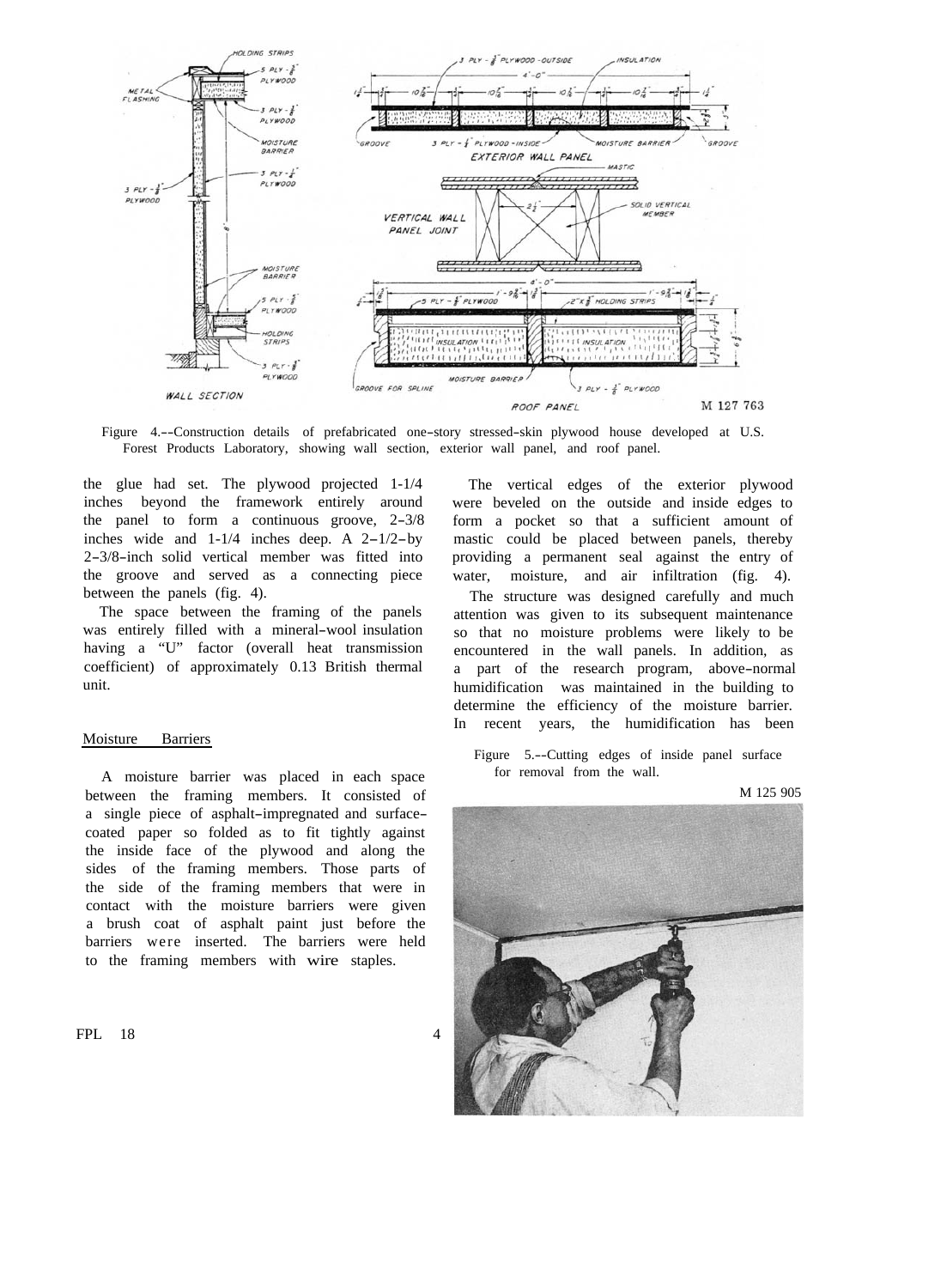

Figure 4.--Construction details of prefabricated one-story stressed-skin plywood house developed at U.S. Forest Products Laboratory, showing wall section, exterior wall panel, and roof panel.

the glue had set. The plywood projected 1-1/4 inches beyond the framework entirely around the panel to form a continuous groove, 2-3/8 inches wide and 1-1/4 inches deep. A 2-1/2-by 2-3/8-inch solid vertical member was fitted into the groove and served as a connecting piece between the panels (fig. 4).

The space between the framing of the panels was entirely filled with a mineral-wool insulation having a "U" factor (overall heat transmission coefficient) of approximately 0.13 British thermal unit.

## Moisture Barriers

A moisture barrier was placed in each space between the framing members. It consisted of a single piece of asphalt-impregnated and surfacecoated paper so folded as to fit tightly against the inside face of the plywood and along the sides of the framing members. Those parts of the side of the framing members that were in contact with the moisture barriers were given a brush coat of asphalt paint just before the barriers were inserted. The barriers were held to the framing members with wire staples.

The vertical edges of the exterior plywood were beveled on the outside and inside edges to form a pocket so that a sufficient amount of mastic could be placed between panels, thereby providing a permanent seal against the entry of water, moisture, and air infiltration (fig. 4).

The structure was designed carefully and much attention was given to its subsequent maintenance so that no moisture problems were likely to be encountered in the wall panels. In addition, as a part of the research program, above-normal humidification was maintained in the building to determine the efficiency of the moisture barrier. In recent years, the humidification has been

Figure 5.--Cutting edges of inside panel surface for removal from the wall.

M 125 905

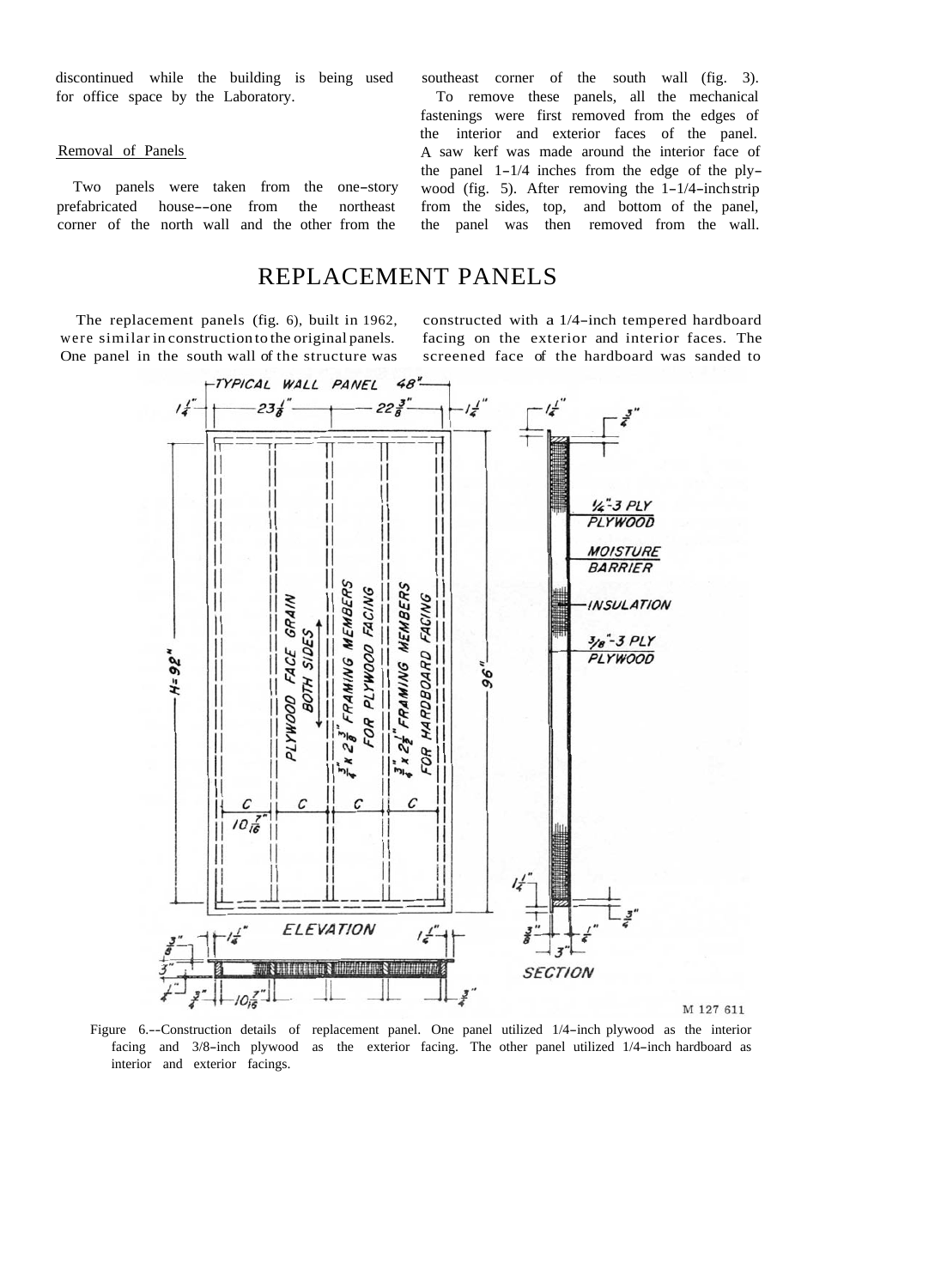discontinued while the building is being used for office space by the Laboratory.

### Removal of Panels

Two panels were taken from the one-story prefabricated house--one from the northeast corner of the north wall and the other from the

southeast corner of the south wall (fig. 3). To remove these panels, all the mechanical fastenings were first removed from the edges of the interior and exterior faces of the panel. A saw kerf was made around the interior face of the panel 1-1/4 inches from the edge of the plywood (fig. 5). After removing the 1-1/4-inchstrip from the sides, top, and bottom of the panel, the panel was then removed from the wall.

## REPLACEMENT PANELS

were similar in construction to the original panels. facing on the exterior and interior faces. The

The replacement panels (fig. 6), built in 1962, constructed with a 1/4-inch tempered hardboard One panel in the south wall of the structure was screened face of the hardboard was sanded to



Figure 6.--Construction details of replacement panel. One panel utilized 1/4-inch plywood as the interior facing and 3/8-inch plywood as the exterior facing. The other panel utilized 1/4-inch hardboard as interior and exterior facings.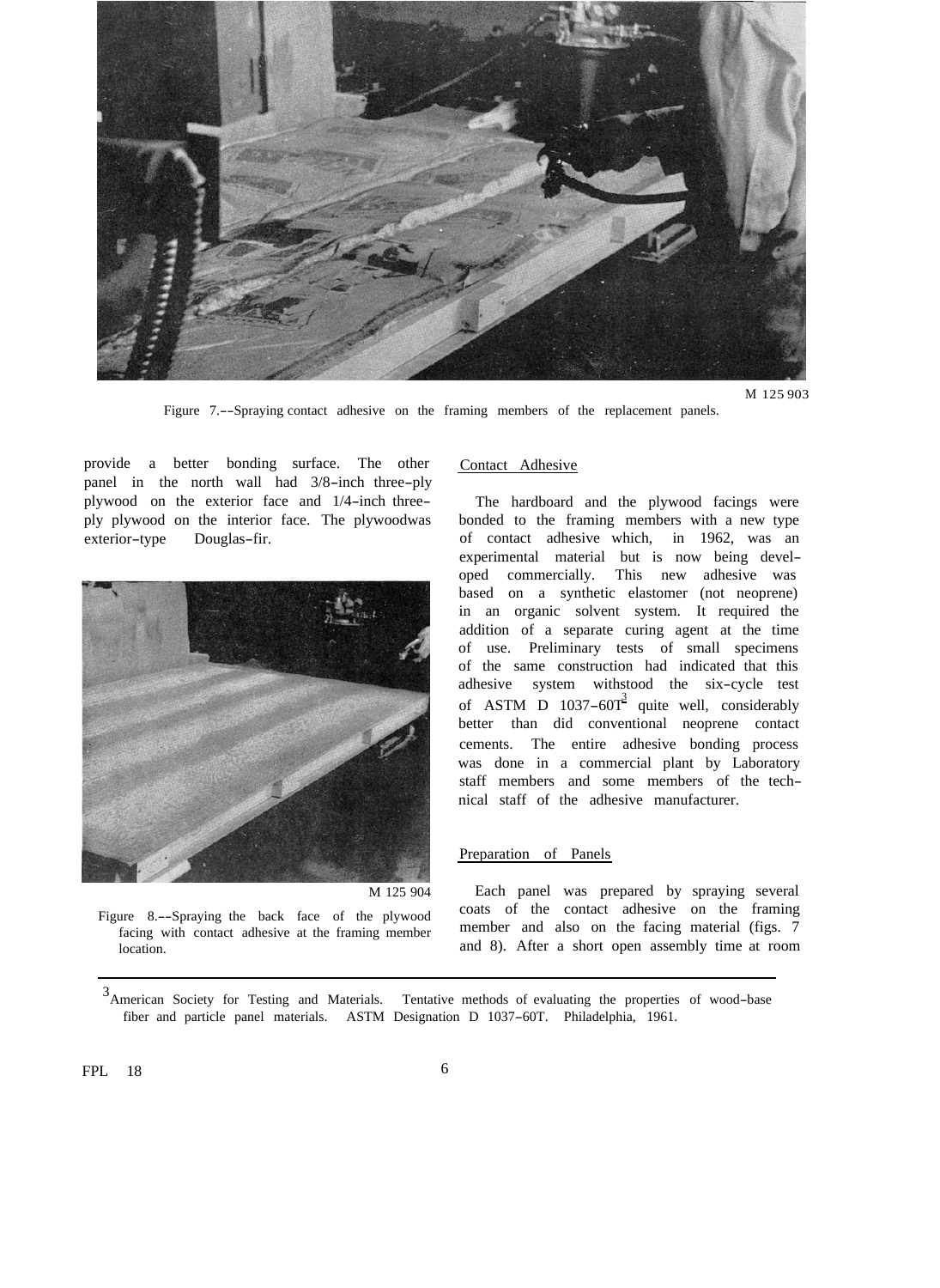<span id="page-7-0"></span>

M 125 903

Figure 7.--Spraying contact adhesive on the framing members of the replacement panels.

provide a better bonding surface. The other panel in the north wall had 3/8-inch three-ply plywood on the exterior face and 1/4-inch threeply plywood on the interior face. The plywoodwas exterior-type Douglas-fir.



M 125 904

Figure 8.--Spraying the back face of the plywood facing with contact adhesive at the framing member location.

#### Contact Adhesive

The hardboard and the plywood facings were bonded to the framing members with a new type of contact adhesive which, in 1962, was an experimental material but is now being developed commercially. This new adhesive was based on a synthetic elastomer (not neoprene) in an organic solvent system. It required the addition of a separate curing agent at the time of use. Preliminary tests of small specimens of the same construction had indicated that this adhesive system withstood the six-cycle test of ASTM D  $1037-60T^3$  quite well, considerably better than did conventional neoprene contact cements. The entire adhesive bonding process was done in a commercial plant by Laboratory staff members and some members of the technical staff of the adhesive manufacturer.

## Preparation of Panels

Each panel was prepared by spraying several coats of the contact adhesive on the framing member and also on the facing material (figs. 7 and 8). After a short open assembly time at room

<sup>&</sup>lt;sup>3</sup> American Society for Testing and Materials. Tentative methods of evaluating the properties of wood-base fiber and particle panel materials. ASTM Designation D 1037-60T. Philadelphia, 1961.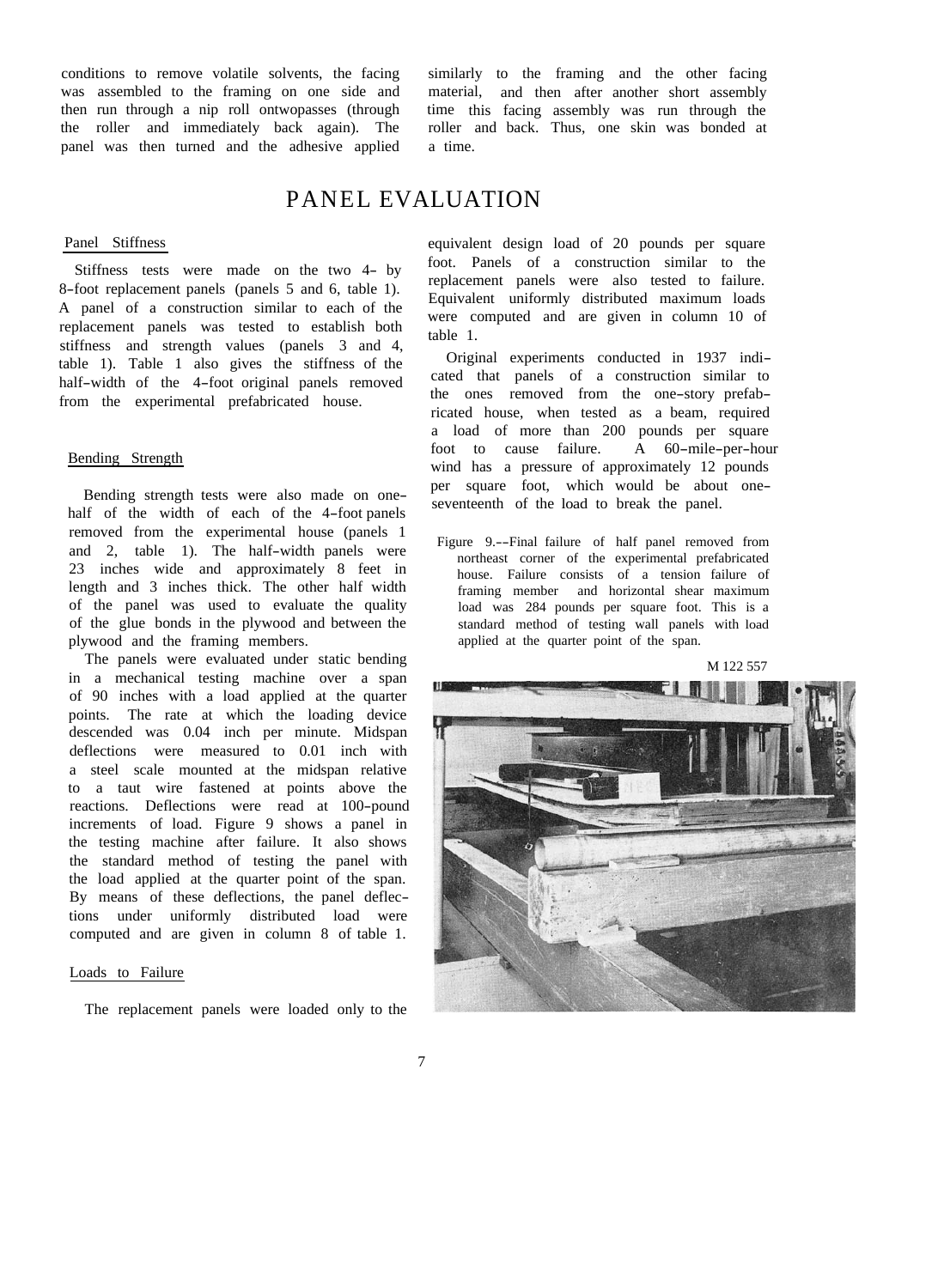conditions to remove volatile solvents, the facing was assembled to the framing on one side and then run through a nip roll ontwopasses (through the roller and immediately back again). The panel was then turned and the adhesive applied

similarly to the framing and the other facing material, and then after another short assembly time this facing assembly was run through the roller and back. Thus, one skin was bonded at a time.

## PANEL EVALUATION

## Panel Stiffness

Stiffness tests were made on the two 4- by 8-foot replacement panels (panels 5 and 6, table 1). A panel of a construction similar to each of the replacement panels was tested to establish both stiffness and strength values (panels 3 and 4, table 1). Table 1 also gives the stiffness of the half-width of the 4-foot original panels removed from the experimental prefabricated house.

## Bending Strength

Bending strength tests were also made on onehalf of the width of each of the 4-foot panels removed from the experimental house (panels 1 and 2, table 1). The half-width panels were 23 inches wide and approximately 8 feet in length and 3 inches thick. The other half width of the panel was used to evaluate the quality of the glue bonds in the plywood and between the plywood and the framing members.

The panels were evaluated under static bending in a mechanical testing machine over a span of 90 inches with a load applied at the quarter points. The rate at which the loading device descended was 0.04 inch per minute. Midspan deflections were measured to 0.01 inch with a steel scale mounted at the midspan relative to a taut wire fastened at points above the reactions. Deflections were read at 100-pound increments of load. Figure 9 shows a panel in the testing machine after failure. It also shows the standard method of testing the panel with the load applied at the quarter point of the span. By means of these deflections, the panel deflections under uniformly distributed load were computed and are given in column 8 of table 1.

### Loads to Failure

The replacement panels were loaded only to the

equivalent design load of 20 pounds per square foot. Panels of a construction similar to the replacement panels were also tested to failure. Equivalent uniformly distributed maximum loads were computed and are given in column 10 of table 1.

Original experiments conducted in 1937 indicated that panels of a construction similar to the ones removed from the one-story prefabricated house, when tested as a beam, required a load of more than 200 pounds per square<br>foot to cause failure. A 60-mile-per-hour foot to cause failure. wind has a pressure of approximately 12 pounds per square foot, which would be about oneseventeenth of the load to break the panel.

M 122 557



Figure 9.--Final failure of half panel removed from northeast corner of the experimental prefabricated house. Failure consists of a tension failure of framing member and horizontal shear maximum load was 284 pounds per square foot. This is a standard method of testing wall panels with load applied at the quarter point of the span.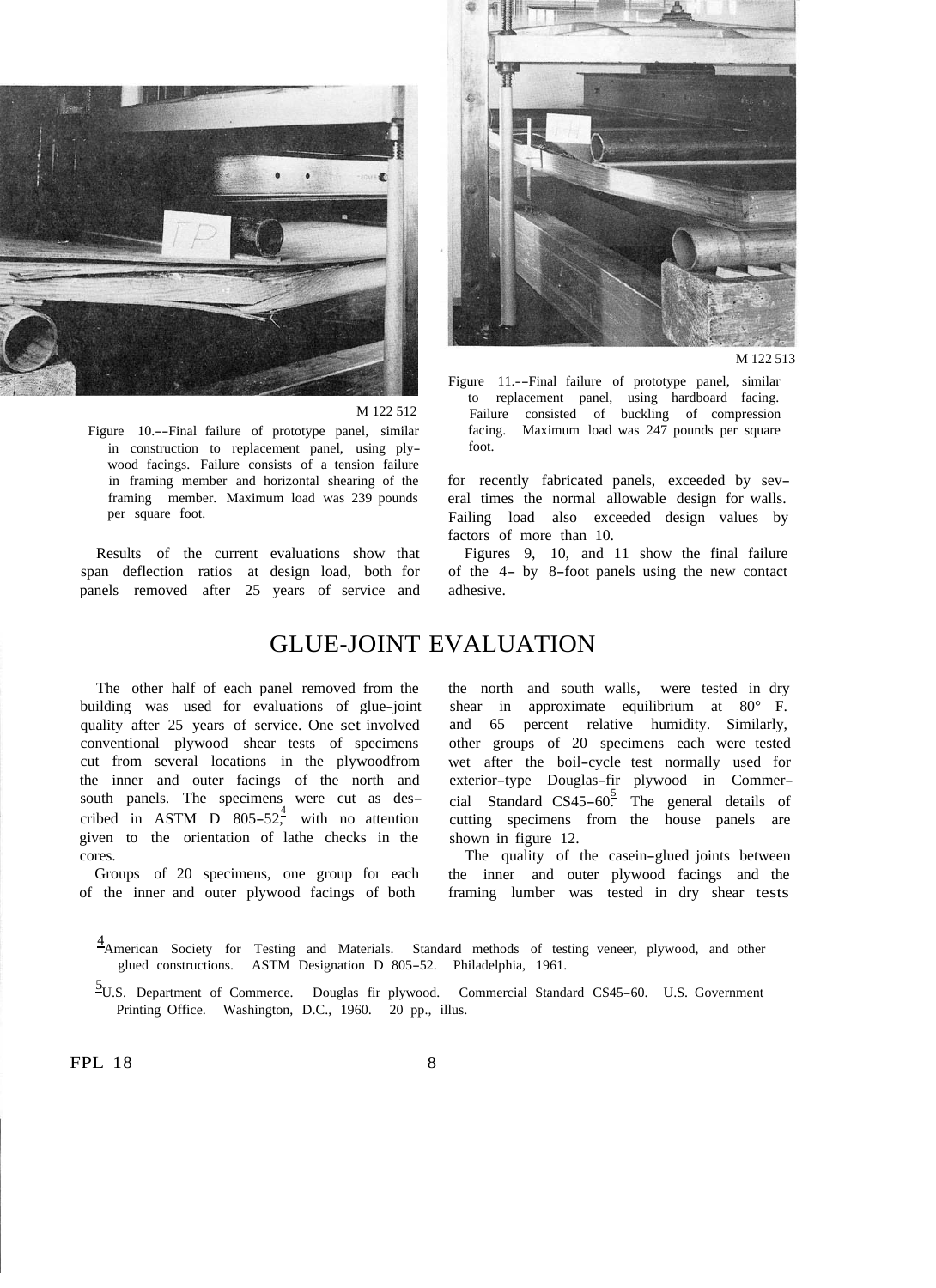

M 122 512

Figure 10.--Final failure of prototype panel, similar in construction to replacement panel, using plywood facings. Failure consists of a tension failure in framing member and horizontal shearing of the framing member. Maximum load was 239 pounds per square foot.

Results of the current evaluations show that span deflection ratios at design load, both for panels removed after 25 years of service and



M 122.513

Figure 11.--Final failure of prototype panel, similar to replacement panel, using hardboard facing. Failure consisted of buckling of compression facing. Maximum load was 247 pounds per square foot.

for recently fabricated panels, exceeded by several times the normal allowable design for walls. Failing load also exceeded design values by factors of more than 10.

Figures 9, 10, and 11 show the final failure of the 4- by 8-foot panels using the new contact adhesive.

## GLUE-JOINT EVALUATION

The other half of each panel removed from the building was used for evaluations of glue-joint quality after 25 years of service. One set involved conventional plywood shear tests of specimens cut from several locations in the plywoodfrom the inner and outer facings of the north and south panels. The specimens were cut as described in ASTM D  $805-52$ , with no attention given to the orientation of lathe checks in the cores.

Groups of 20 specimens, one group for each of the inner and outer plywood facings of both

the north and south walls, were tested in dry shear in approximate equilibrium at 80° F. and 65 percent relative humidity. Similarly, other groups of 20 specimens each were tested wet after the boil-cycle test normally used for exterior-type Douglas-fir plywood in Commercial Standard CS45-60.<sup>5</sup> The general details of cutting specimens from the house panels are shown in figure 12.

The quality of the casein-glued joints between the inner and outer plywood facings and the framing lumber was tested in dry shear tests

4<br><sup>4</sup> American Society for Testing and Materials. Standard methods of testing veneer, plywood, and other glued constructions. ASTM Designation D 805-52. Philadelphia, 1961.

5 U.S. Department of Commerce. Douglas fir plywood. Commercial Standard CS45-60. U.S. Government Printing Office. Washington, D.C., 1960. 20 pp., illus.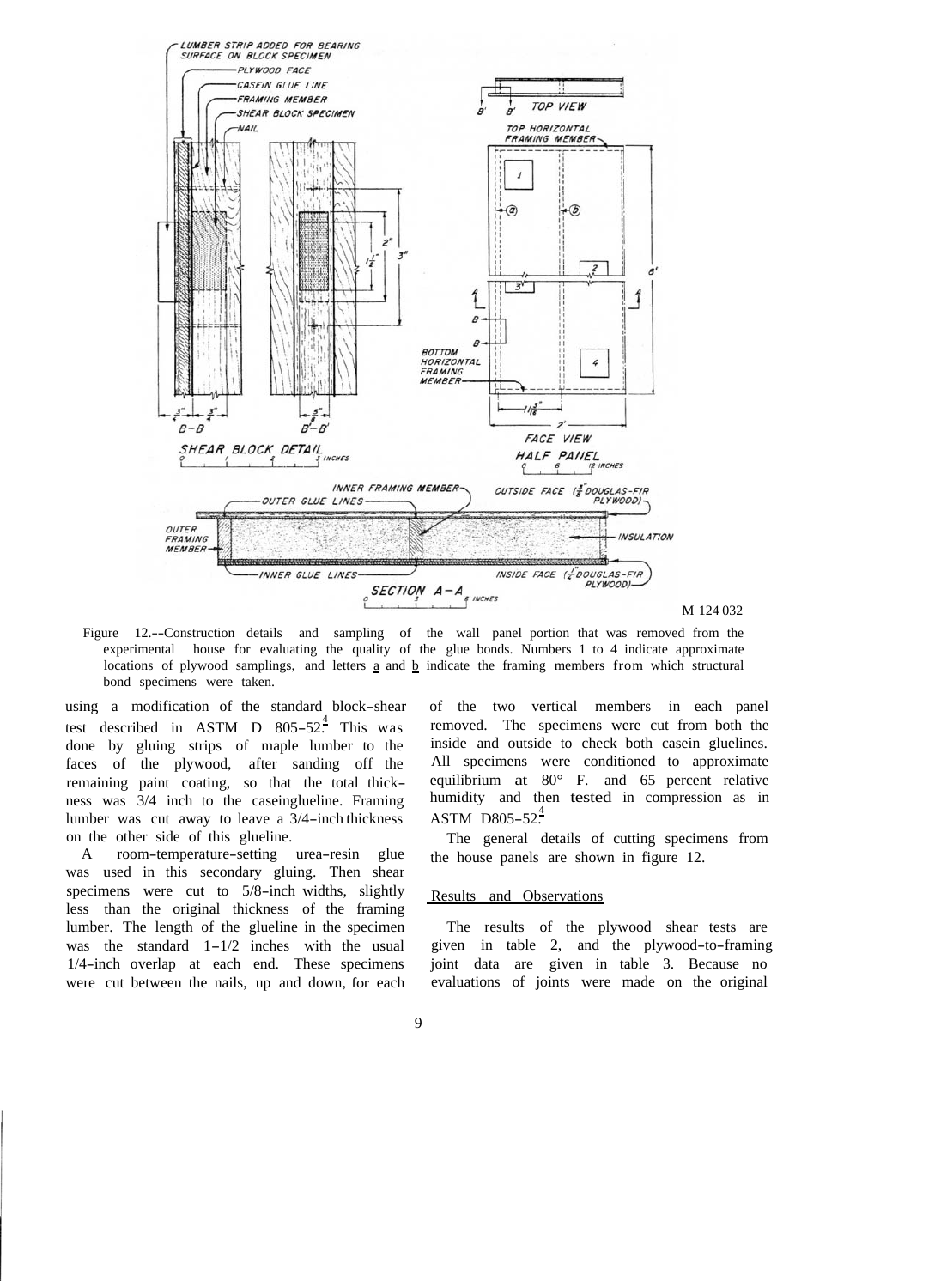

M 124 032

Figure 12.--Construction details and sampling of the wall panel portion that was removed from the experimental house for evaluating the quality of the glue bonds. Numbers 1 to 4 indicate approximate locations of plywood samplings, and letters  $\underline{a}$  and  $\underline{b}$  indicate the framing members from which structural bond specimens were taken.

using a modification of the standard block-shear test described in ASTM D  $805-52^{\frac{4}{5}}$  This was done by gluing strips of maple lumber to the faces of the plywood, after sanding off the remaining paint coating, so that the total thickness was 3/4 inch to the caseinglueline. Framing lumber was cut away to leave a 3/4-inch thickness on the other side of this glueline.

A room-temperature-setting urea-resin glue was used in this secondary gluing. Then shear specimens were cut to 5/8-inch widths, slightly less than the original thickness of the framing lumber. The length of the glueline in the specimen was the standard  $1-1/2$  inches with the usual 1/4-inch overlap at each end. These specimens were cut between the nails, up and down, for each of the two vertical members in each panel removed. The specimens were cut from both the inside and outside to check both casein gluelines. All specimens were conditioned to approximate equilibrium at 80° F. and 65 percent relative humidity and then tested in compression as in  $ASTM$  D805-52 $^{4}$ 

The general details of cutting specimens from the house panels are shown in figure 12.

## Results and Observations

The results of the plywood shear tests are given in table 2, and the plywood-to-framing joint data are given in table 3. Because no evaluations of joints were made on the original

## 9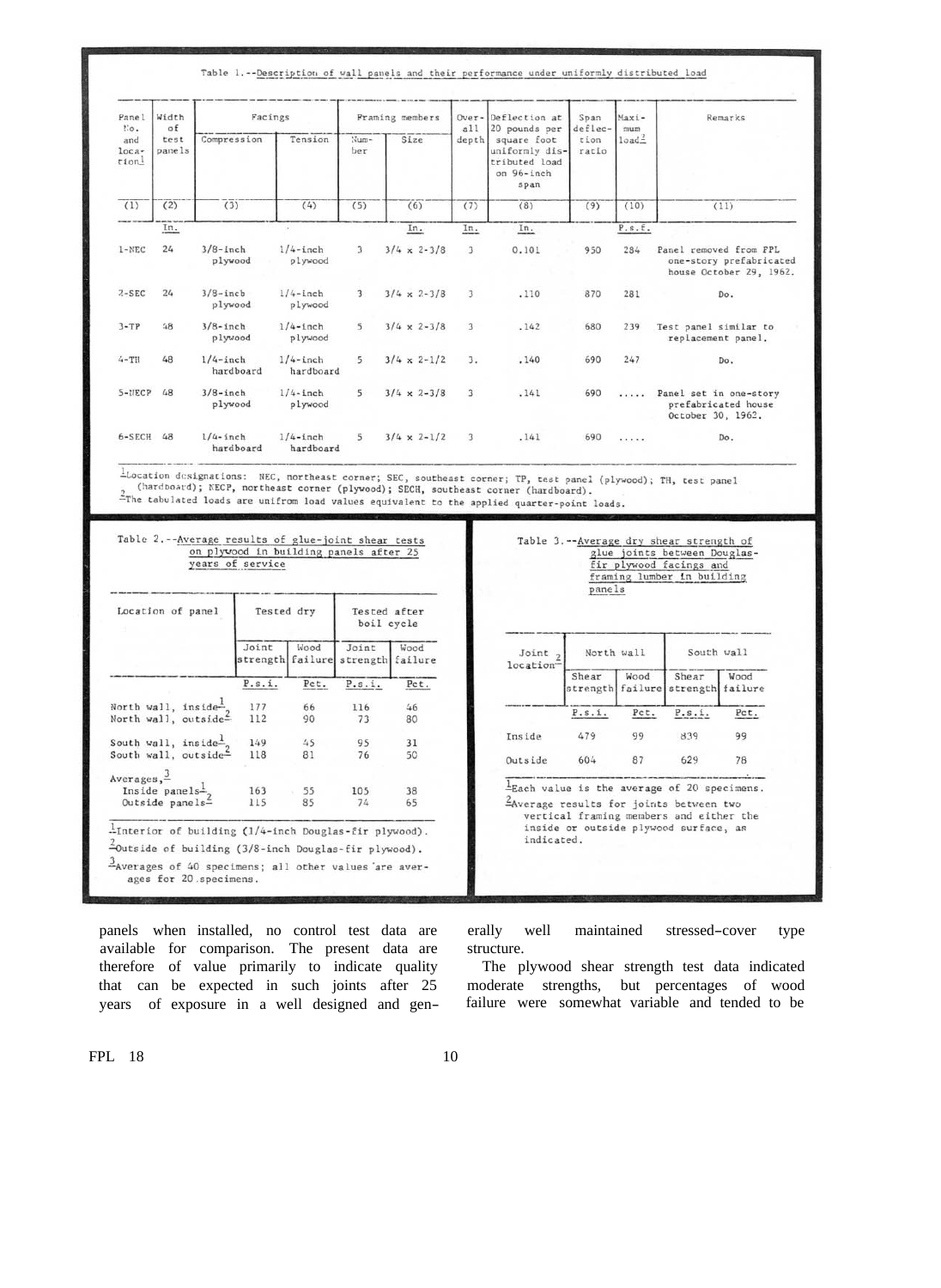| Table 1.--Description of wall panels and their performance under uniformly distributed load |  |
|---------------------------------------------------------------------------------------------|--|
|---------------------------------------------------------------------------------------------|--|

| Panel<br><b>Mo.</b>    | Width<br>of<br>test<br>panels | Facings                  |                          | Framing members         |                      | a11                     | Over-Deflection at<br>20 pounds per                                  | Span<br>deflec- | Maxi-<br>mum      | Remarks                                                                      |
|------------------------|-------------------------------|--------------------------|--------------------------|-------------------------|----------------------|-------------------------|----------------------------------------------------------------------|-----------------|-------------------|------------------------------------------------------------------------------|
| and<br>$loca-$<br>tion |                               | Compression              | Tension                  | Num-<br>ber             | Size                 | depth                   | square foot<br>uniformly dis-<br>tributed load<br>on 96-inch<br>span | tion<br>ratio   | load <sup>2</sup> |                                                                              |
| (1)                    | (2)                           | (3)                      | (4)                      | (5)                     | (6)                  | (7)                     | (8)                                                                  | (9)             | (10)              | (11)                                                                         |
|                        | In.                           |                          | ×                        |                         | In.                  | In.                     | In.                                                                  |                 | P.s.f.            |                                                                              |
| $1 - \text{NEC}$       | 24                            | $3/8$ -inch<br>plywood   | $1/4$ -inch<br>plywood   | $\overline{\mathbf{3}}$ | $3/4 \times 2 - 3/8$ | 3                       | 0.101                                                                | 950             | 284               | Panel removed from FPL<br>one-story prefabricated<br>house October 29, 1962. |
| $2 - SEC$              | 24                            | $3/8$ -inch<br>plywood   | $1/4$ -inch<br>plywood   | $\overline{\mathbf{3}}$ | $3/4 \times 2 - 3/8$ | $\overline{\mathbf{3}}$ | .110                                                                 | 870             | 281               | Do.                                                                          |
| $3 - TP$               | 48                            | $3/8$ -inch<br>plywood   | $1/4$ -inch<br>plywood   | 5                       | $3/4 \times 2 - 3/8$ | 3                       | .142                                                                 | 680             | 239               | Test panel similar to<br>replacement panel.                                  |
| $4 - TH$               | 48                            | $1/4$ -inch<br>hardboard | $1/4$ -inch<br>hardboard | 5                       | $3/4 \times 2 - 1/2$ | 3.                      | .140                                                                 | 690             | 247               | Do.                                                                          |
| $5 - \text{MECP}$      | 48                            | $3/8$ -inch<br>plywood   | $1/4$ -inch<br>plywood   | 5 <sup>1</sup>          | $3/4 \times 2 - 3/8$ | $\overline{3}$          | .141                                                                 | 690             | .                 | Panel set in one-story<br>prefabricated house<br>October 30, 1962.           |
| 6-SECH                 | 48                            | $1/4$ -inch<br>hardboard | $1/4$ -inch<br>hardboard | 5                       | $3/4 \times 2 - 1/2$ | 3                       | .141                                                                 | 690             | .                 | Do.                                                                          |

Location designations: NEC, northeast corner; SEC, southeast corner; TP, test panel (plywood); TH, test panel (hardboard); NECP, northeast corner (plywood); SECH, southeast corner (hardboard).<br>2The tabulated loads are unif

| Location of panel                 | Tested dry |      | Tested after<br>boil cycle                 |      |  |
|-----------------------------------|------------|------|--------------------------------------------|------|--|
|                                   | Joint      | Wood | Joint<br>strength failure strength failure | Wood |  |
|                                   | P.s.i.     | Pct. | P.s.i.                                     | Pct. |  |
| North wall, inside <sup>1</sup> , | 177        | 66   | 116                                        | 46   |  |
| North wall, outside=              | 112        | 90   | 73                                         | 80   |  |
| South wall, inside $\frac{1}{2}$  | 149        | 45   | 95                                         | 31   |  |
| South wall, outside-              | 118        | 81   | 76                                         | 50   |  |
| $Averages, \frac{3}{5}$           |            |      |                                            |      |  |
| Inside panels- $\frac{1}{2}$      | 163        | 55   | 105                                        | 38   |  |
| Outside panels-                   | 115        | 85   | 74                                         | 65   |  |

| Joint <sub>2</sub><br>location" | North wall        |                 | South wall        |                 |  |
|---------------------------------|-------------------|-----------------|-------------------|-----------------|--|
|                                 | Shear<br>strength | Wood<br>failure | Shear<br>strength | Wood<br>failure |  |
|                                 | P.s.i.            | Pct.            | P.s.i.            | Pct.            |  |
| Inside                          | 479               | 99              | 839               | 99              |  |
| Outside                         | 604               | 87              | 629               | 78              |  |

panels when installed, no control test data are available for comparison. The present data are therefore of value primarily to indicate quality that can be expected in such joints after 25 years of exposure in a well designed and generally well maintained stressed-cover type structure.

The plywood shear strength test data indicated moderate strengths, but percentages of wood failure were somewhat variable and tended to be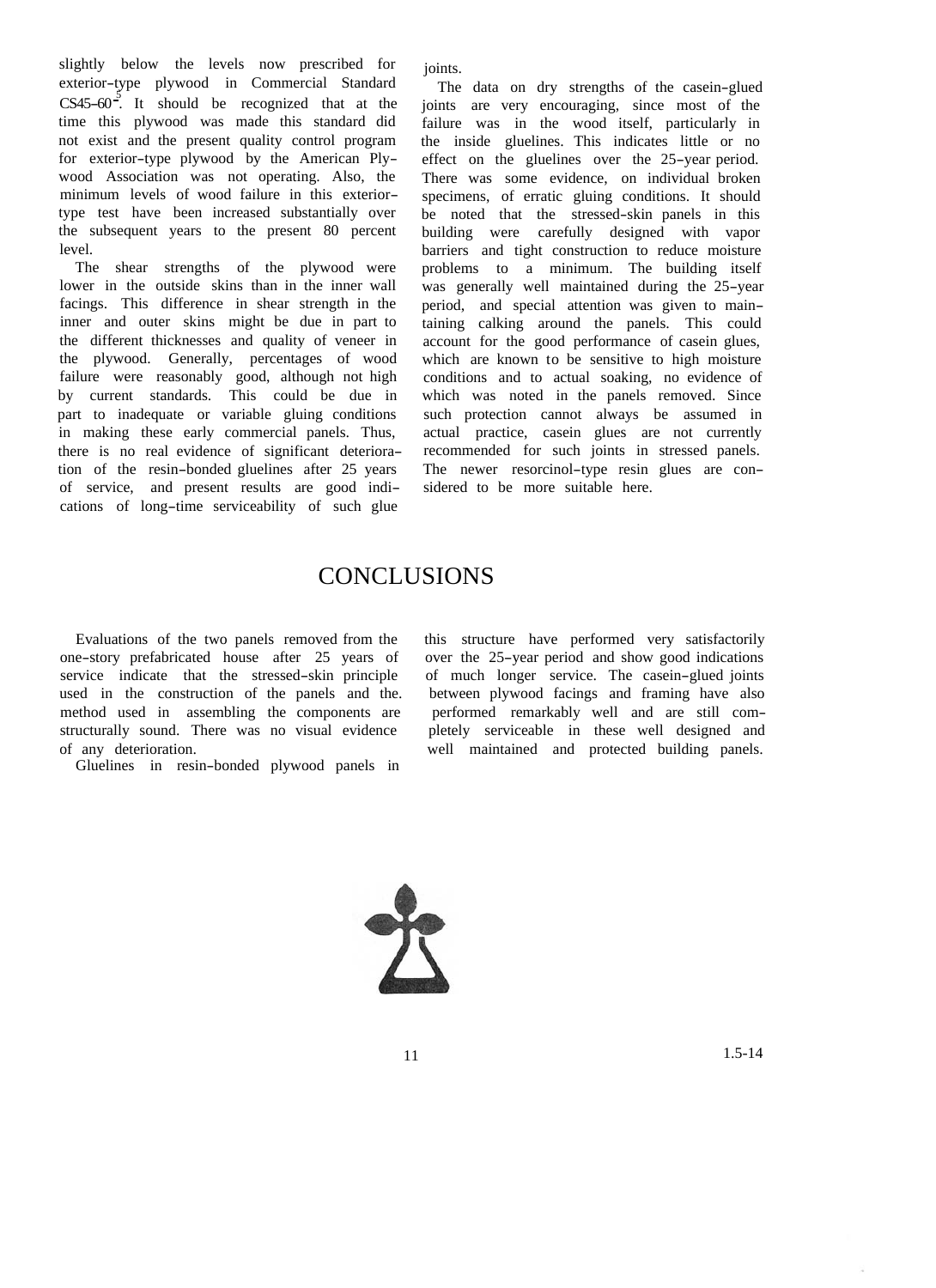slightly below the levels now prescribed for exterior-type plywood in Commercial Standard  $CS45-60^2$ . It should be recognized that at the time this plywood was made this standard did not exist and the present quality control program for exterior-type plywood by the American Plywood Association was not operating. Also, the minimum levels of wood failure in this exteriortype test have been increased substantially over the subsequent years to the present 80 percent level.

The shear strengths of the plywood were lower in the outside skins than in the inner wall facings. This difference in shear strength in the inner and outer skins might be due in part to the different thicknesses and quality of veneer in the plywood. Generally, percentages of wood failure were reasonably good, although not high by current standards. This could be due in part to inadequate or variable gluing conditions in making these early commercial panels. Thus, there is no real evidence of significant deterioration of the resin-bonded gluelines after 25 years of service, and present results are good indications of long-time serviceability of such glue

joints.

The data on dry strengths of the casein-glued joints are very encouraging, since most of the failure was in the wood itself, particularly in the inside gluelines. This indicates little or no effect on the gluelines over the 25-year period. There was some evidence, on individual broken specimens, of erratic gluing conditions. It should be noted that the stressed-skin panels in this building were carefully designed with vapor barriers and tight construction to reduce moisture problems to a minimum. The building itself was generally well maintained during the 25-year period, and special attention was given to maintaining calking around the panels. This could account for the good performance of casein glues, which are known to be sensitive to high moisture conditions and to actual soaking, no evidence of which was noted in the panels removed. Since such protection cannot always be assumed in actual practice, casein glues are not currently recommended for such joints in stressed panels. The newer resorcinol-type resin glues are considered to be more suitable here.

# **CONCLUSIONS**

one-story prefabricated house after 25 years of over the 25-year period and show good indications service indicate that the stressed-skin principle of much longer service. The casein-glued joints used in the construction of the panels and the. method used in assembling the components are performed remarkably well and are still com-<br>structurally sound. There was no visual evidence pletely serviceable in these well designed and

Gluelines in resin-bonded plywood panels in

Evaluations of the two panels removed from the this structure have performed very satisfactorily of much longer service. The casein-glued joints between plywood facings and framing have also pletely serviceable in these well designed and of any deterioration. well maintained and protected building panels.

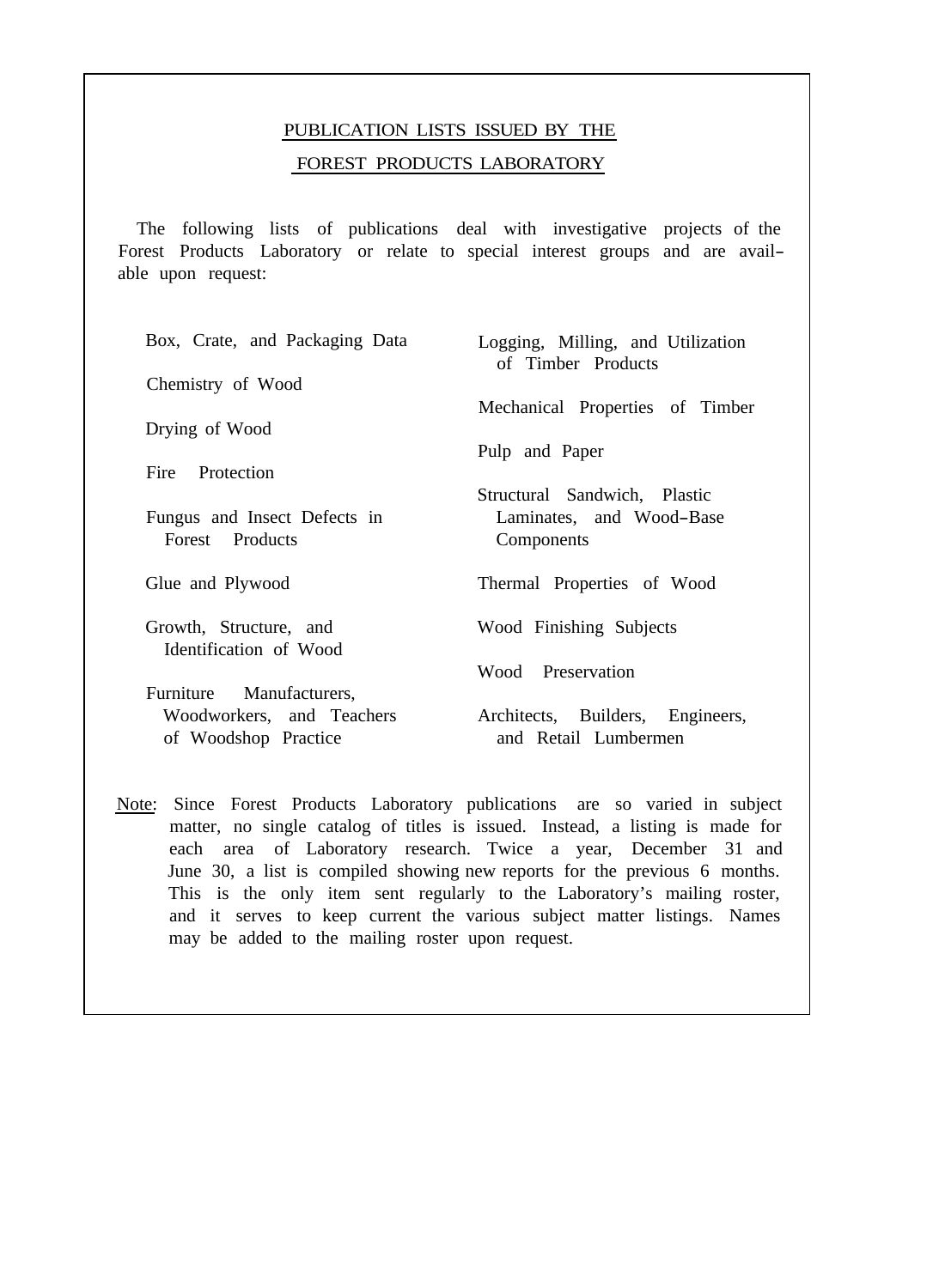# PUBLICATION LISTS ISSUED BY THE FOREST PRODUCTS LABORATORY

The following lists of publications deal with investigative projects of the Forest Products Laboratory or relate to special interest groups and are available upon request:

| Box, Crate, and Packaging Data | Logging, Milling, and Utilization<br>of Timber Products |
|--------------------------------|---------------------------------------------------------|
| Chemistry of Wood              |                                                         |
|                                | Mechanical Properties of Timber                         |
| Drying of Wood                 |                                                         |
|                                | Pulp and Paper                                          |
| Fire Protection                |                                                         |
|                                | Structural Sandwich, Plastic                            |
| Fungus and Insect Defects in   | Laminates, and Wood-Base                                |
| Forest Products                | Components                                              |
|                                |                                                         |
| Glue and Plywood               | Thermal Properties of Wood                              |
|                                |                                                         |
| Growth, Structure, and         | Wood Finishing Subjects                                 |
| Identification of Wood         |                                                         |
|                                | Wood Preservation                                       |
|                                |                                                         |
| Furniture Manufacturers,       |                                                         |
| Woodworkers, and Teachers      | Architects, Builders, Engineers,                        |
| of Woodshop Practice           | and Retail Lumbermen                                    |

Note: Since Forest Products Laboratory publications are so varied in subject matter, no single catalog of titles is issued. Instead, a listing is made for each area of Laboratory research. Twice a year, December 31 and June 30, a list is compiled showing new reports for the previous 6 months. This is the only item sent regularly to the Laboratory's mailing roster, and it serves to keep current the various subject matter listings. Names may be added to the mailing roster upon request.